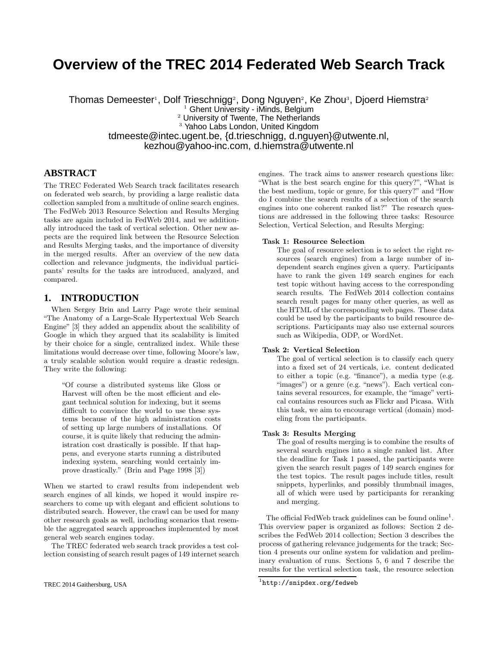# **Overview of the TREC 2014 Federated Web Search Track**

Thomas Demeester<sup>1</sup>, Dolf Trieschnigg<sup>2</sup>, Dong Nguyen<sup>2</sup>, Ke Zhou<sup>3</sup>, Djoerd Hiemstra<sup>2</sup>

 $1$  Ghent University - iMinds, Belgium

<sup>2</sup> University of Twente, The Netherlands

<sup>3</sup> Yahoo Labs London, United Kingdom

tdmeeste@intec.ugent.be, {d.trieschnigg, d.nguyen}@utwente.nl,

kezhou@yahoo-inc.com, d.hiemstra@utwente.nl

# **ABSTRACT**

The TREC Federated Web Search track facilitates research on federated web search, by providing a large realistic data collection sampled from a multitude of online search engines. The FedWeb 2013 Resource Selection and Results Merging tasks are again included in FedWeb 2014, and we additionally introduced the task of vertical selection. Other new aspects are the required link between the Resource Selection and Results Merging tasks, and the importance of diversity in the merged results. After an overview of the new data collection and relevance judgments, the individual participants' results for the tasks are introduced, analyzed, and compared.

# **1. INTRODUCTION**

When Sergey Brin and Larry Page wrote their seminal "The Anatomy of a Large-Scale Hypertextual Web Search Engine" [3] they added an appendix about the scalibility of Google in which they argued that its scalability is limited by their choice for a single, centralized index. While these limitations would decrease over time, following Moore's law, a truly scalable solution would require a drastic redesign. They write the following:

"Of course a distributed systems like Gloss or Harvest will often be the most efficient and elegant technical solution for indexing, but it seems difficult to convince the world to use these systems because of the high administration costs of setting up large numbers of installations. Of course, it is quite likely that reducing the administration cost drastically is possible. If that happens, and everyone starts running a distributed indexing system, searching would certainly improve drastically." (Brin and Page 1998 [3])

When we started to crawl results from independent web search engines of all kinds, we hoped it would inspire researchers to come up with elegant and efficient solutions to distributed search. However, the crawl can be used for many other research goals as well, including scenarios that resemble the aggregated search approaches implemented by most general web search engines today.

The TREC federated web search track provides a test collection consisting of search result pages of 149 internet search engines. The track aims to answer research questions like: "What is the best search engine for this query?", "What is the best medium, topic or genre, for this query?" and "How do I combine the search results of a selection of the search engines into one coherent ranked list?" The research questions are addressed in the following three tasks: Resource Selection, Vertical Selection, and Results Merging:

#### Task 1: Resource Selection

The goal of resource selection is to select the right resources (search engines) from a large number of independent search engines given a query. Participants have to rank the given 149 search engines for each test topic without having access to the corresponding search results. The FedWeb 2014 collection contains search result pages for many other queries, as well as the HTML of the corresponding web pages. These data could be used by the participants to build resource descriptions. Participants may also use external sources such as Wikipedia, ODP, or WordNet.

#### Task 2: Vertical Selection

The goal of vertical selection is to classify each query into a fixed set of 24 verticals, i.e. content dedicated to either a topic (e.g. "finance"), a media type (e.g. "images") or a genre (e.g. "news"). Each vertical contains several resources, for example, the "image" vertical contains resources such as Flickr and Picasa. With this task, we aim to encourage vertical (domain) modeling from the participants.

#### Task 3: Results Merging

The goal of results merging is to combine the results of several search engines into a single ranked list. After the deadline for Task 1 passed, the participants were given the search result pages of 149 search engines for the test topics. The result pages include titles, result snippets, hyperlinks, and possibly thumbnail images, all of which were used by participants for reranking and merging.

The official FedWeb track guidelines can be found online<sup>1</sup>. This overview paper is organized as follows: Section 2 describes the FedWeb 2014 collection; Section 3 describes the process of gathering relevance judgements for the track; Section 4 presents our online system for validation and preliminary evaluation of runs. Sections 5, 6 and 7 describe the results for the vertical selection task, the resource selection

<sup>1</sup> http://snipdex.org/fedweb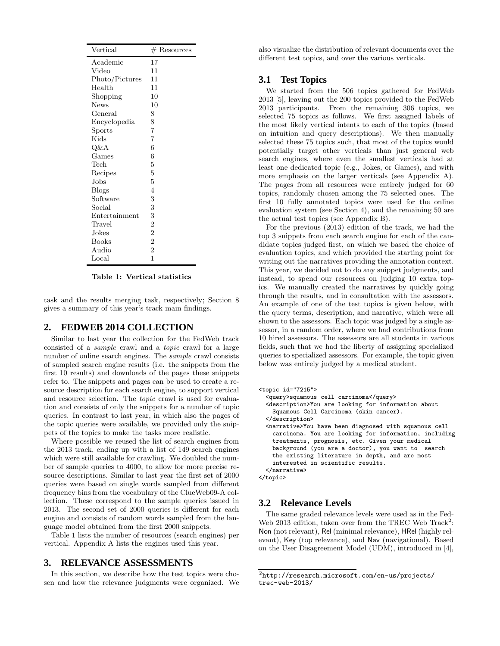| Vertical       | $#$ Resources  |
|----------------|----------------|
| Academic       | 17             |
| Video          | 11             |
| Photo/Pictures | 11             |
| Health         | 11             |
| Shopping       | 10             |
| <b>News</b>    | 10             |
| General        | 8              |
| Encyclopedia   | 8              |
| $\rm Sports$   | 7              |
| Kids           | 7              |
| Q&A            | 6              |
| Games          | 6              |
| Tech           | 5              |
| Recipes        | 5              |
| Jobs           | 5              |
| <b>Blogs</b>   | 4              |
| Software       | 3              |
| Social         | 3              |
| Entertainment  | 3              |
| Travel         | $\overline{2}$ |
| Jokes          | $\overline{2}$ |
| <b>Books</b>   | $\overline{2}$ |
| Audio          | $\overline{2}$ |
| Local          | 1              |

Table 1: Vertical statistics

task and the results merging task, respectively; Section 8 gives a summary of this year's track main findings.

### **2. FEDWEB 2014 COLLECTION**

Similar to last year the collection for the FedWeb track consisted of a sample crawl and a topic crawl for a large number of online search engines. The sample crawl consists of sampled search engine results (i.e. the snippets from the first 10 results) and downloads of the pages these snippets refer to. The snippets and pages can be used to create a resource description for each search engine, to support vertical and resource selection. The topic crawl is used for evaluation and consists of only the snippets for a number of topic queries. In contrast to last year, in which also the pages of the topic queries were available, we provided only the snippets of the topics to make the tasks more realistic.

Where possible we reused the list of search engines from the 2013 track, ending up with a list of 149 search engines which were still available for crawling. We doubled the number of sample queries to 4000, to allow for more precise resource descriptions. Similar to last year the first set of 2000 queries were based on single words sampled from different frequency bins from the vocabulary of the ClueWeb09-A collection. These correspond to the sample queries issued in 2013. The second set of 2000 queries is different for each engine and consists of random words sampled from the language model obtained from the first 2000 snippets.

Table 1 lists the number of resources (search engines) per vertical. Appendix A lists the engines used this year.

### **3. RELEVANCE ASSESSMENTS**

In this section, we describe how the test topics were chosen and how the relevance judgments were organized. We also visualize the distribution of relevant documents over the different test topics, and over the various verticals.

### **3.1 Test Topics**

We started from the 506 topics gathered for FedWeb 2013 [5], leaving out the 200 topics provided to the FedWeb 2013 participants. From the remaining 306 topics, we selected 75 topics as follows. We first assigned labels of the most likely vertical intents to each of the topics (based on intuition and query descriptions). We then manually selected these 75 topics such, that most of the topics would potentially target other verticals than just general web search engines, where even the smallest verticals had at least one dedicated topic (e.g., Jokes, or Games), and with more emphasis on the larger verticals (see Appendix A). The pages from all resources were entirely judged for 60 topics, randomly chosen among the 75 selected ones. The first 10 fully annotated topics were used for the online evaluation system (see Section 4), and the remaining 50 are the actual test topics (see Appendix B).

For the previous (2013) edition of the track, we had the top 3 snippets from each search engine for each of the candidate topics judged first, on which we based the choice of evaluation topics, and which provided the starting point for writing out the narratives providing the annotation context. This year, we decided not to do any snippet judgments, and instead, to spend our resources on judging 10 extra topics. We manually created the narratives by quickly going through the results, and in consultation with the assessors. An example of one of the test topics is given below, with the query terms, description, and narrative, which were all shown to the assessors. Each topic was judged by a single assessor, in a random order, where we had contributions from 10 hired assessors. The assessors are all students in various fields, such that we had the liberty of assigning specialized queries to specialized assessors. For example, the topic given below was entirely judged by a medical student.

```
<topic id="7215">
  <query>squamous cell carcinoma</query>
  <description>You are looking for information about
   Squamous Cell Carcinoma (skin cancer).
  </description>
  <narrative>You have been diagnosed with squamous cell
   carcinoma. You are looking for information, including
    treatments, prognosis, etc. Given your medical
   background (you are a doctor), you want to search
   the existing literature in depth, and are most
   interested in scientific results.
  </narrative>
</topic>
```
#### **3.2 Relevance Levels**

The same graded relevance levels were used as in the Fed-Web 2013 edition, taken over from the TREC Web Track<sup>2</sup>: Non (not relevant), Rel (minimal relevance), HRel (highly relevant), Key (top relevance), and Nav (navigational). Based on the User Disagreement Model (UDM), introduced in [4],

 $^2$ http://research.microsoft.com/en-us/projects/ trec-web-2013/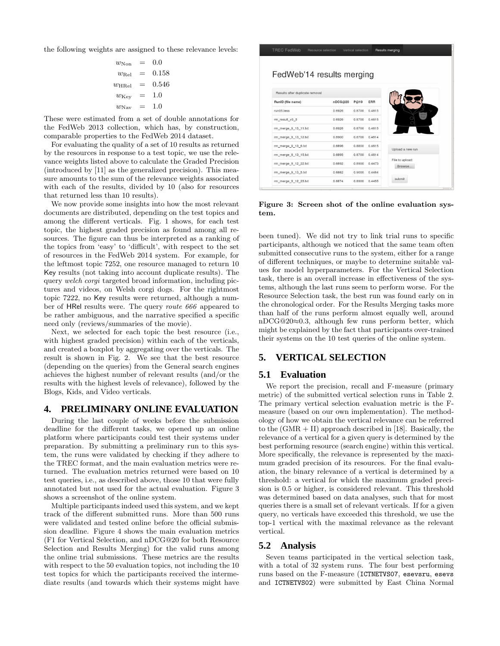the following weights are assigned to these relevance levels:

$$
w_{\text{Non}} = 0.0
$$
  
\n
$$
w_{\text{Rel}} = 0.158
$$
  
\n
$$
w_{\text{HRel}} = 0.546
$$
  
\n
$$
w_{\text{Key}} = 1.0
$$
  
\n
$$
w_{\text{Nav}} = 1.0
$$

These were estimated from a set of double annotations for the FedWeb 2013 collection, which has, by construction, comparable properties to the FedWeb 2014 dataset.

For evaluating the quality of a set of 10 results as returned by the resources in response to a test topic, we use the relevance weights listed above to calculate the Graded Precision (introduced by [11] as the generalized precision). This measure amounts to the sum of the relevance weights associated with each of the results, divided by 10 (also for resources that returned less than 10 results).

We now provide some insights into how the most relevant documents are distributed, depending on the test topics and among the different verticals. Fig. 1 shows, for each test topic, the highest graded precision as found among all resources. The figure can thus be interpreted as a ranking of the topics from 'easy' to 'difficult', with respect to the set of resources in the FedWeb 2014 system. For example, for the leftmost topic 7252, one resource managed to return 10 Key results (not taking into account duplicate results). The query welch corgi targeted broad information, including pictures and videos, on Welsh corgi dogs. For the rightmost topic 7222, no Key results were returned, although a number of HRel results were. The query route 666 appeared to be rather ambiguous, and the narrative specified a specific need only (reviews/summaries of the movie).

Next, we selected for each topic the best resource (i.e., with highest graded precision) within each of the verticals, and created a boxplot by aggregating over the verticals. The result is shown in Fig. 2. We see that the best resource (depending on the queries) from the General search engines achieves the highest number of relevant results (and/or the results with the highest levels of relevance), followed by the Blogs, Kids, and Video verticals.

#### **4. PRELIMINARY ONLINE EVALUATION**

During the last couple of weeks before the submission deadline for the different tasks, we opened up an online platform where participants could test their systems under preparation. By submitting a preliminary run to this system, the runs were validated by checking if they adhere to the TREC format, and the main evaluation metrics were returned. The evaluation metrics returned were based on 10 test queries, i.e., as described above, those 10 that were fully annotated but not used for the actual evaluation. Figure 3 shows a screenshot of the online system.

Multiple participants indeed used this system, and we kept track of the different submitted runs. More than 500 runs were validated and tested online before the official submission deadline. Figure 4 shows the main evaluation metrics (F1 for Vertical Selection, and nDCG@20 for both Resource Selection and Results Merging) for the valid runs among the online trial submissions. These metrics are the results with respect to the 50 evaluation topics, not including the 10 test topics for which the participants received the intermediate results (and towards which their systems might have

| FedWeb'14 results merging       |         |        |            |                           |
|---------------------------------|---------|--------|------------|---------------------------|
|                                 |         |        |            |                           |
| Results after duplicate removal |         |        |            |                           |
| RunID (file name)               | nDCG@20 | P@10   | <b>ERR</b> |                           |
| run05.less                      | 0.6926  | 0.8700 | 0.4615     |                           |
| rm_result_v3_5                  | 0.6926  | 0.8700 | 0.4615     | WWW<br>Fed                |
| rm_merge_9_13_11.txt            | 0.6926  | 0.8700 | 0.4615     |                           |
| rm merge 9 13 12.txt            | 0.6900  | 0.8700 | 0.4614     |                           |
| rm merge 9 13 6.txt             | 0.6896  | 0.8800 | 0.4615     | Upload a new run          |
| rm_merge_9_13_15.txt            | 0.6895  | 0.8700 | 0.4614     |                           |
| rm_merge_9_12_22.txt            | 0.6892  | 0.8900 | 0.4473     | File to upload:<br>Browse |
|                                 |         |        |            |                           |

Figure 3: Screen shot of the online evaluation system.

been tuned). We did not try to link trial runs to specific participants, although we noticed that the same team often submitted consecutive runs to the system, either for a range of different techniques, or maybe to determine suitable values for model hyperparameters. For the Vertical Selection task, there is an overall increase in effectiveness of the systems, although the last runs seem to perform worse. For the Resource Selection task, the best run was found early on in the chronological order. For the Results Merging tasks more than half of the runs perform almost equally well, around nDCG@20≈0.3, although few runs perform better, which might be explained by the fact that participants over-trained their systems on the 10 test queries of the online system.

# **5. VERTICAL SELECTION**

# **5.1 Evaluation**

We report the precision, recall and F-measure (primary metric) of the submitted vertical selection runs in Table 2. The primary vertical selection evaluation metric is the Fmeasure (based on our own implementation). The methodology of how we obtain the vertical relevance can be referred to the  $(GMR + II)$  approach described in [18]. Basically, the relevance of a vertical for a given query is determined by the best performing resource (search engine) within this vertical. More specifically, the relevance is represented by the maximum graded precision of its resources. For the final evaluation, the binary relevance of a vertical is determined by a threshold: a vertical for which the maximum graded precision is 0.5 or higher, is considered relevant. This threshold was determined based on data analyses, such that for most queries there is a small set of relevant verticals. If for a given query, no verticals have exceeded this threshold, we use the top-1 vertical with the maximal relevance as the relevant vertical.

# **5.2 Analysis**

Seven teams participated in the vertical selection task, with a total of 32 system runs. The four best performing runs based on the F-measure (ICTNETVS07, esevsru, esevs and ICTNETVS02) were submitted by East China Normal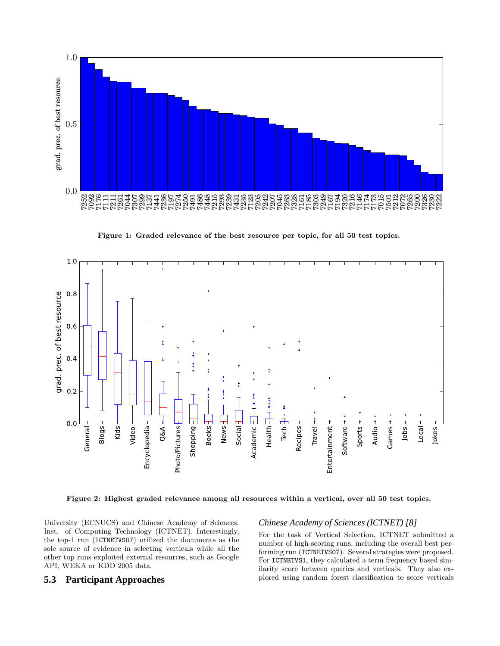

Figure 1: Graded relevance of the best resource per topic, for all 50 test topics.



Figure 2: Highest graded relevance among all resources within a vertical, over all 50 test topics.

University (ECNUCS) and Chinese Academy of Sciences, Inst. of Computing Technology (ICTNET). Interestingly, the top-1 run (ICTNETVS07) utilized the documents as the sole source of evidence in selecting verticals while all the other top runs exploited external resources, such as Google API, WEKA or KDD 2005 data.

# *Chinese Academy of Sciences (ICTNET) [8]*

For the task of Vertical Selection, ICTNET submitted a number of high-scoring runs, including the overall best performing run (ICTNETVS07). Several strategies were proposed. For ICTNETVS1, they calculated a term frequency based similarity score between queries and verticals. They also explored using random forest classification to score verticals

### **5.3 Participant Approaches**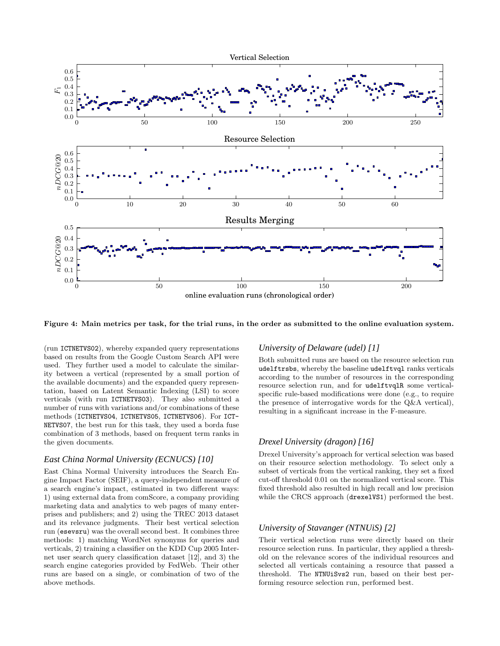

Figure 4: Main metrics per task, for the trial runs, in the order as submitted to the online evaluation system.

(run ICTNETVS02), whereby expanded query representations based on results from the Google Custom Search API were used. They further used a model to calculate the similarity between a vertical (represented by a small portion of the available documents) and the expanded query representation, based on Latent Semantic Indexing (LSI) to score verticals (with run ICTNETVS03). They also submitted a number of runs with variations and/or combinations of these methods (ICTNETVS04, ICTNETVS05, ICTNETVS06). For ICT-NETVS07, the best run for this task, they used a borda fuse combination of 3 methods, based on frequent term ranks in the given documents.

#### *East China Normal University (ECNUCS) [10]*

East China Normal University introduces the Search Engine Impact Factor (SEIF), a query-independent measure of a search engine's impact, estimated in two different ways: 1) using external data from comScore, a company providing marketing data and analytics to web pages of many enterprises and publishers; and 2) using the TREC 2013 dataset and its relevance judgments. Their best vertical selection run (esevsru) was the overall second best. It combines three methods: 1) matching WordNet synonyms for queries and verticals, 2) training a classifier on the KDD Cup 2005 Internet user search query classification dataset [12], and 3) the search engine categories provided by FedWeb. Their other runs are based on a single, or combination of two of the above methods.

#### *University of Delaware (udel) [1]*

Both submitted runs are based on the resource selection run udelftrsbs, whereby the baseline udelftvql ranks verticals according to the number of resources in the corresponding resource selection run, and for udelftvqlR some verticalspecific rule-based modifications were done (e.g., to require the presence of interrogative words for the Q&A vertical), resulting in a significant increase in the F-measure.

#### *Drexel University (dragon) [16]*

Drexel University's approach for vertical selection was based on their resource selection methodology. To select only a subset of verticals from the vertical ranking, they set a fixed cut-off threshold 0.01 on the normalized vertical score. This fixed threshold also resulted in high recall and low precision while the CRCS approach (drexelVS1) performed the best.

#### *University of Stavanger (NTNUiS) [2]*

Their vertical selection runs were directly based on their resource selection runs. In particular, they applied a threshold on the relevance scores of the individual resources and selected all verticals containing a resource that passed a threshold. The NTNUiSvs2 run, based on their best performing resource selection run, performed best.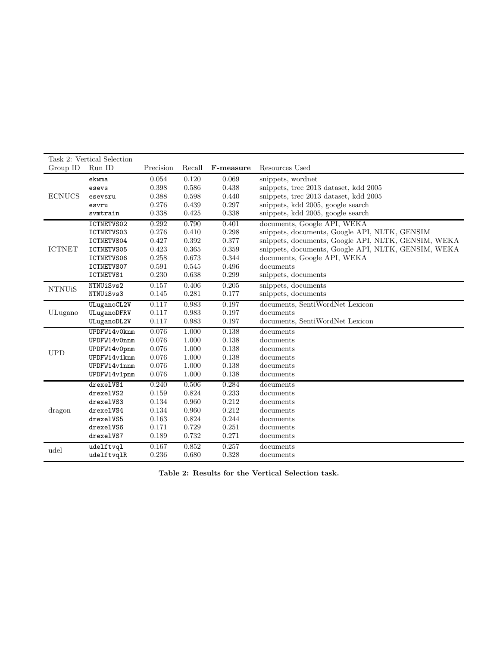| Group ID      | Task 2: Vertical Selection<br>Run ID | Precision | Recall      | F-measure | Resources Used                                      |
|---------------|--------------------------------------|-----------|-------------|-----------|-----------------------------------------------------|
|               |                                      |           |             |           |                                                     |
|               | ekwma                                | 0.054     | 0.120       | 0.069     | snippets, wordnet                                   |
|               | esevs                                | 0.398     | 0.586       | 0.438     | snippets, trec 2013 dataset, kdd 2005               |
| <b>ECNUCS</b> | esevsru                              | 0.388     | 0.598       | 0.440     | snippets, trec 2013 dataset, kdd 2005               |
|               | esvru                                | 0.276     | 0.439       | 0.297     | snippets, kdd 2005, google search                   |
|               | svmtrain                             | 0.338     | 0.425       | 0.338     | snippets, kdd 2005, google search                   |
|               | ICTNETVS02                           | 0.292     | 0.790       | 0.401     | documents, Google API, WEKA                         |
|               | ICTNETVS03                           | 0.276     | 0.410       | 0.298     | snippets, documents, Google API, NLTK, GENSIM       |
|               | ICTNETVS04                           | 0.427     | 0.392       | 0.377     | snippets, documents, Google API, NLTK, GENSIM, WEKA |
| <b>ICTNET</b> | ICTNETVS05                           | 0.423     | 0.365       | 0.359     | snippets, documents, Google API, NLTK, GENSIM, WEKA |
|               | ICTNETVS06                           | 0.258     | 0.673       | 0.344     | documents, Google API, WEKA                         |
|               | ICTNETVS07                           | 0.591     | 0.545       | 0.496     | documents                                           |
|               | ICTNETVS1                            | 0.230     | 0.638       | 0.299     | snippets, documents                                 |
| <b>NTNUiS</b> | NTNUiSvs2                            | 0.157     | 0.406       | 0.205     | snippets, documents                                 |
|               | NTNUiSvs3                            | 0.145     | 0.281       | 0.177     | snippets, documents                                 |
|               | ULuganoCL2V                          | 0.117     | 0.983       | 0.197     | documents, SentiWordNet Lexicon                     |
| ULugano       | ULuganoDFRV                          | 0.117     | 0.983       | 0.197     | documents                                           |
|               | ULuganoDL2V                          | 0.117     | 0.983       | 0.197     | documents, SentiWordNet Lexicon                     |
|               | UPDFW14v0knm                         | 0.076     | 1.000       | 0.138     | documents                                           |
|               | UPDFW14v0nnm                         | 0.076     | 1.000       | 0.138     | documents                                           |
| <b>UPD</b>    | UPDFW14v0pnm                         | 0.076     | 1.000       | 0.138     | documents                                           |
|               | UPDFW14v1knm                         | 0.076     | 1.000       | 0.138     | documents                                           |
|               | UPDFW14v1nnm                         | 0.076     | 1.000       | 0.138     | documents                                           |
|               | UPDFW14v1pnm                         | 0.076     | 1.000       | 0.138     | documents                                           |
|               | drexelVS1                            | 0.240     | 0.506       | 0.284     | documents                                           |
|               | drexelVS2                            | 0.159     | 0.824       | 0.233     | documents                                           |
|               | drexelVS3                            | 0.134     | 0.960       | 0.212     | documents                                           |
| dragon        | drexelVS4                            | 0.134     | 0.960       | 0.212     | documents                                           |
|               | drexelVS5                            | 0.163     | 0.824       | 0.244     | documents                                           |
|               | drexelVS6                            | 0.171     | 0.729       | 0.251     | documents                                           |
|               | drexelVS7                            | 0.189     | $\rm 0.732$ | 0.271     | documents                                           |
|               | udelftvql                            | 0.167     | 0.852       | 0.257     | documents                                           |
| udel          | udelftvqlR                           | 0.236     | 0.680       | 0.328     | documents                                           |
|               |                                      |           |             |           |                                                     |

Table 2: Results for the Vertical Selection task.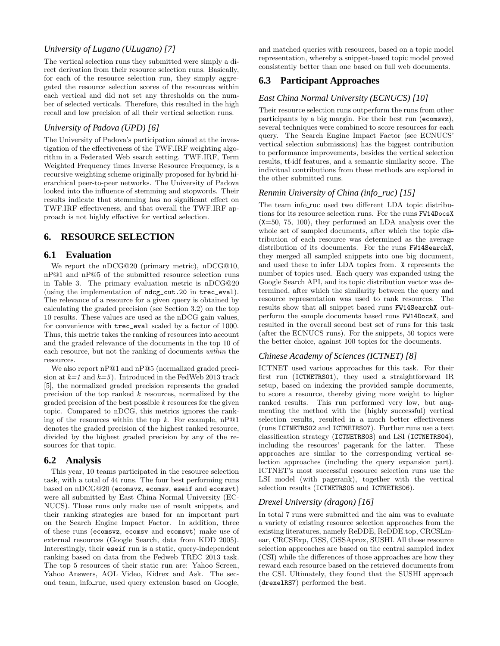# *University of Lugano (ULugano) [7]*

The vertical selection runs they submitted were simply a direct derivation from their resource selection runs. Basically, for each of the resource selection run, they simply aggregated the resource selection scores of the resources within each vertical and did not set any thresholds on the number of selected verticals. Therefore, this resulted in the high recall and low precision of all their vertical selection runs.

### *University of Padova (UPD) [6]*

The University of Padova's participation aimed at the investigation of the effectiveness of the TWF.IRF weighting algorithm in a Federated Web search setting. TWF.IRF, Term Weighted Frequency times Inverse Resource Frequency, is a recursive weighting scheme originally proposed for hybrid hierarchical peer-to-peer networks. The University of Padova looked into the influence of stemming and stopwords. Their results indicate that stemming has no significant effect on TWF.IRF effectiveness, and that overall the TWF.IRF approach is not highly effective for vertical selection.

# **6. RESOURCE SELECTION**

#### **6.1 Evaluation**

We report the nDCG@20 (primary metric), nDCG@10, nP@1 and nP@5 of the submitted resource selection runs in Table 3. The primary evaluation metric is nDCG@20 (using the implementation of ndcg\_cut.20 in trec\_eval). The relevance of a resource for a given query is obtained by calculating the graded precision (see Section 3.2) on the top 10 results. These values are used as the nDCG gain values, for convenience with trec\_eval scaled by a factor of 1000. Thus, this metric takes the ranking of resources into account and the graded relevance of the documents in the top 10 of each resource, but not the ranking of documents within the resources.

We also report  $nP@1$  and  $nP@5$  (normalized graded precision at  $k=1$  and  $k=5$ ). Introduced in the FedWeb 2013 track [5], the normalized graded precision represents the graded precision of the top ranked  $k$  resources, normalized by the graded precision of the best possible  $k$  resources for the given topic. Compared to nDCG, this metrics ignores the ranking of the resources within the top  $k$ . For example, nP $@1$ denotes the graded precision of the highest ranked resource, divided by the highest graded precision by any of the resources for that topic.

#### **6.2 Analysis**

This year, 10 teams participated in the resource selection task, with a total of 44 runs. The four best performing runs based on nDCG@20 (ecomsvz, ecomsv, eseif and ecomsvt) were all submitted by East China Normal University (EC-NUCS). These runs only make use of result snippets, and their ranking strategies are based for an important part on the Search Engine Impact Factor. In addition, three of these runs (ecomsvz, ecomsv and ecomsvt) make use of external resources (Google Search, data from KDD 2005). Interestingly, their eseif run is a static, query-independent ranking based on data from the Fedweb TREC 2013 task. The top 5 resources of their static run are: Yahoo Screen, Yahoo Answers, AOL Video, Kidrex and Ask. The second team, info\_ruc, used query extension based on Google,

and matched queries with resources, based on a topic model representation, whereby a snippet-based topic model proved consistently better than one based on full web documents.

# **6.3 Participant Approaches**

#### *East China Normal University (ECNUCS) [10]*

Their resource selection runs outperform the runs from other participants by a big margin. For their best run (ecomsvz), several techniques were combined to score resources for each query. The Search Engine Impact Factor (see ECNUCS' vertical selection submissions) has the biggest contribution to performance improvements, besides the vertical selection results, tf-idf features, and a semantic similarity score. The indivitual contributions from these methods are explored in the other submitted runs.

#### *Renmin University of China (info\_ruc) [15]*

The team info ruc used two different LDA topic distributions for its resource selection runs. For the runs FW14DocsX  $(X=50, 75, 100)$ , they performed an LDA analysis over the whole set of sampled documents, after which the topic distribution of each resource was determined as the average distribution of its documents. For the runs FW14SearchX, they merged all sampled snippets into one big document, and used these to infer LDA topics from. X represents the number of topics used. Each query was expanded using the Google Search API, and its topic distribution vector was determined, after which the similarity between the query and resource representation was used to rank resources. The results show that all snippet based runs FW14SearchX outperform the sample documents based runs FW14DocsX, and resulted in the overall second best set of runs for this task (after the ECNUCS runs). For the snippets, 50 topics were the better choice, against 100 topics for the documents.

#### *Chinese Academy of Sciences (ICTNET) [8]*

ICTNET used various approaches for this task. For their first run (ICTNETRS01), they used a straightforward IR setup, based on indexing the provided sample documents, to score a resource, thereby giving more weight to higher ranked results. This run performed very low, but augmenting the method with the (highly successful) vertical selection results, resulted in a much better effectiveness (runs ICTNETRS02 and ICTNETRS07). Further runs use a text classification strategy (ICTNETRS03) and LSI (ICTNETRS04), including the resources' pagerank for the latter. These approaches are similar to the corresponding vertical selection approaches (including the query expansion part). ICTNET's most successful resource selection runs use the LSI model (with pagerank), together with the vertical selection results (ICTNETRS05 and ICTNETRS06).

# *Drexel University (dragon) [16]*

In total 7 runs were submitted and the aim was to evaluate a variety of existing resource selection approaches from the existing literatures, namely ReDDE, ReDDE.top, CRCSLinear, CRCSExp, CiSS, CiSSAprox, SUSHI. All those resource selection approaches are based on the central sampled index (CSI) while the differences of those approaches are how they reward each resource based on the retrieved documents from the CSI. Ultimately, they found that the SUSHI approach (drexelRS7) performed the best.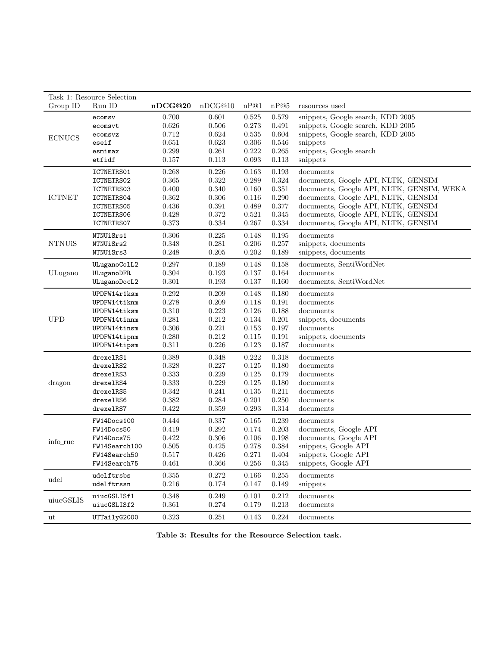|               | Task 1: Resource Selection |                |                |                |                |                                                  |
|---------------|----------------------------|----------------|----------------|----------------|----------------|--------------------------------------------------|
| Group ID      | Run ID                     | nDCG@20        | nDCG@10        | nP@1           | nP@5           | resources used                                   |
|               | ecomsv                     | 0.700          | 0.601          | 0.525          | 0.579          | snippets, Google search, KDD 2005                |
|               | ecomsvt                    | 0.626          | 0.506          | 0.273          | 0.491          | snippets, Google search, KDD 2005                |
|               | ecomsvz                    | 0.712          | 0.624          | 0.535          | 0.604          | snippets, Google search, KDD 2005                |
| <b>ECNUCS</b> | eseif                      | 0.651          | 0.623          | 0.306          | 0.546          | snippets                                         |
|               | esmimax                    | 0.299          | 0.261          | 0.222          | 0.265          | snippets, Google search                          |
|               | etfidf                     | 0.157          | 0.113          | 0.093          | 0.113          | snippets                                         |
|               |                            |                |                |                |                |                                                  |
|               | ICTNETRS01<br>ICTNETRS02   | 0.268<br>0.365 | 0.226<br>0.322 | 0.163<br>0.289 | 0.193<br>0.324 | documents<br>documents, Google API, NLTK, GENSIM |
|               | ICTNETRS03                 |                |                |                |                | documents, Google API, NLTK, GENSIM, WEKA        |
| <b>ICTNET</b> |                            | 0.400          | 0.340          | 0.160          | 0.351          |                                                  |
|               | ICTNETRS04                 | 0.362          | 0.306          | 0.116          | 0.290          | documents, Google API, NLTK, GENSIM              |
|               | ICTNETRS05                 | 0.436          | 0.391          | 0.489          | 0.377          | documents, Google API, NLTK, GENSIM              |
|               | ICTNETRS06                 | 0.428          | 0.372          | 0.521          | 0.345          | documents, Google API, NLTK, GENSIM              |
|               | ICTNETRS07                 | 0.373          | 0.334          | 0.267          | 0.334          | documents, Google API, NLTK, GENSIM              |
|               | NTNUiSrs1                  | 0.306          | 0.225          | 0.148          | 0.195          | documents                                        |
| <b>NTNUiS</b> | NTNUiSrs2                  | 0.348          | 0.281          | 0.206          | 0.257          | snippets, documents                              |
|               | NTNUiSrs3                  | 0.248          | 0.205          | 0.202          | 0.189          | snippets, documents                              |
|               | ULuganoColL2               | 0.297          | 0.189          | 0.148          | 0.158          | documents, SentiWordNet                          |
| ULugano       | ULuganoDFR                 | 0.304          | 0.193          | 0.137          | 0.164          | documents                                        |
|               | ULuganoDocL2               | 0.301          | 0.193          | 0.137          | 0.160          | documents, SentiWordNet                          |
|               | UPDFW14r1ksm               | 0.292          | 0.209          | 0.148          | 0.180          | documents                                        |
| <b>UPD</b>    | UPDFW14tiknm               | 0.278          | 0.209          | 0.118          | 0.191          | documents                                        |
|               | UPDFW14tiksm               | 0.310          | 0.223          | 0.126          | 0.188          | documents                                        |
|               | UPDFW14tinnm               | 0.281          | 0.212          | 0.134          | 0.201          |                                                  |
|               |                            |                | 0.221          |                |                | snippets, documents                              |
|               | UPDFW14tinsm               | 0.306          | 0.212          | 0.153          | 0.197          | documents                                        |
|               | UPDFW14tipnm               | 0.280          |                | 0.115          | 0.191          | snippets, documents                              |
|               | UPDFW14tipsm               | 0.311          | 0.226          | 0.123          | 0.187          | documents                                        |
|               | drexelRS1                  | 0.389          | 0.348          | 0.222          | 0.318          | documents                                        |
|               | drexelRS2                  | 0.328          | 0.227          | 0.125          | 0.180          | documents                                        |
|               | drexelRS3                  | 0.333          | 0.229          | 0.125          | 0.179          | documents                                        |
| dragon        | drexelRS4                  | 0.333          | 0.229          | 0.125          | 0.180          | documents                                        |
|               | drexelRS5                  | 0.342          | 0.241          | 0.135          | 0.211          | documents                                        |
|               | drexelRS6                  | 0.382          | 0.284          | 0.201          | 0.250          | documents                                        |
|               | drexelRS7                  | 0.422          | $\,0.359\,$    | $\,0.293\,$    | $\!0.314$      | documents                                        |
|               | FW14Docs100                | 0.444          | 0.337          | 0.165          | 0.239          | documents                                        |
|               | FW14Docs50                 | 0.419          | 0.292          | 0.174          | 0.203          | documents, Google API                            |
|               | FW14Docs75                 | 0.422          | 0.306          | 0.106          | 0.198          | documents, Google API                            |
| info_ruc      | FW14Search100              | 0.505          | 0.425          | 0.278          | 0.384          | snippets, Google API                             |
|               | FW14Search50               | $0.517\,$      | 0.426          | 0.271          | $0.404\,$      | snippets, Google API                             |
|               | FW14Search75               | 0.461          | 0.366          | 0.256          | 0.345          | snippets, Google API                             |
|               | udelftrsbs                 | $0.355\,$      | 0.272          | 0.166          | 0.255          | documents                                        |
| udel          | udelftrssn                 | $0.216\,$      | $0.174\,$      | 0.147          | $0.149\,$      | snippets                                         |
|               |                            |                |                |                |                |                                                  |
| uiucGSLIS     | uiucGSLISf1                | 0.348          | 0.249          | $0.101\,$      | 0.212          | documents                                        |
|               | uiucGSLISf2                | $\,0.361\,$    | $0.274\,$      | $0.179\,$      | $\rm 0.213$    | documents                                        |
| ut            | UTTailyG2000               | 0.323          | 0.251          | 0.143          | 0.224          | documents                                        |

Table 3: Results for the Resource Selection task.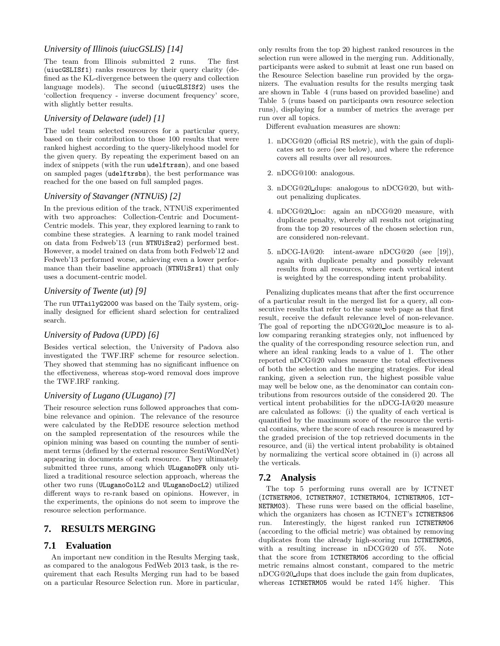# *University of Illinois (uiucGSLIS) [14]*

The team from Illinois submitted 2 runs. The first (uiucGSLISf1) ranks resources by their query clarity (defined as the KL-divergence between the query and collection language models). The second (uiucGLSISf2) uses the 'collection frequency - inverse document frequency' score, with slightly better results.

#### *University of Delaware (udel) [1]*

The udel team selected resources for a particular query, based on their contribution to those 100 results that were ranked highest according to the query-likelyhood model for the given query. By repeating the experiment based on an index of snippets (with the run udelftrssn), and one based on sampled pages (udelftrsbs), the best performance was reached for the one based on full sampled pages.

#### *University of Stavanger (NTNUiS) [2]*

In the previous edition of the track, NTNUiS experimented with two approaches: Collection-Centric and Document-Centric models. This year, they explored learning to rank to combine these strategies. A learning to rank model trained on data from Fedweb'13 (run NTNUiSrs2) performed best. However, a model trained on data from both Fedweb'12 and Fedweb'13 performed worse, achieving even a lower performance than their baseline approach (NTNUiSrs1) that only uses a document-centric model.

### *University of Twente (ut) [9]*

The run UTTailyG2000 was based on the Taily system, originally designed for efficient shard selection for centralized search.

#### *University of Padova (UPD) [6]*

Besides vertical selection, the University of Padova also investigated the TWF.IRF scheme for resource selection. They showed that stemming has no significant influence on the effectiveness, whereas stop-word removal does improve the TWF.IRF ranking.

#### *University of Lugano (ULugano) [7]*

Their resource selection runs followed approaches that combine relevance and opinion. The relevance of the resource were calculated by the ReDDE resource selection method on the sampled representation of the resources while the opinion mining was based on counting the number of sentiment terms (defined by the external resource SentiWordNet) appearing in documents of each resource. They ultimately submitted three runs, among which ULuganoDFR only utilized a traditional resource selection approach, whereas the other two runs (ULuganoColL2 and ULuganoDocL2) utilized different ways to re-rank based on opinions. However, in the experiments, the opinions do not seem to improve the resource selection performance.

# **7. RESULTS MERGING**

#### **7.1 Evaluation**

An important new condition in the Results Merging task, as compared to the analogous FedWeb 2013 task, is the requirement that each Results Merging run had to be based on a particular Resource Selection run. More in particular,

only results from the top 20 highest ranked resources in the selection run were allowed in the merging run. Additionally, participants were asked to submit at least one run based on the Resource Selection baseline run provided by the organizers. The evaluation results for the results merging task are shown in Table 4 (runs based on provided baseline) and Table 5 (runs based on participants own resource selection runs), displaying for a number of metrics the average per run over all topics.

Different evaluation measures are shown:

- 1. nDCG@20 (official RS metric), with the gain of duplicates set to zero (see below), and where the reference covers all results over all resources.
- 2. nDCG@100: analogous.
- 3. nDCG@20 dups: analogous to nDCG@20, but without penalizing duplicates.
- 4. nDCG@20 loc: again an nDCG@20 measure, with duplicate penalty, whereby all results not originating from the top 20 resources of the chosen selection run, are considered non-relevant.
- 5. nDCG-IA@20: intent-aware nDCG@20 (see [19]), again with duplicate penalty and possibly relevant results from all resources, where each vertical intent is weighted by the corresponding intent probability.

Penalizing duplicates means that after the first occurrence of a particular result in the merged list for a query, all consecutive results that refer to the same web page as that first result, receive the default relevance level of non-relevance. The goal of reporting the nDCG@20 loc measure is to allow comparing reranking strategies only, not influenced by the quality of the corresponding resource selection run, and where an ideal ranking leads to a value of 1. The other reported nDCG@20 values measure the total effectiveness of both the selection and the merging strategies. For ideal ranking, given a selection run, the highest possible value may well be below one, as the denominator can contain contributions from resources outside of the considered 20. The vertical intent probabilities for the nDCG-IA@20 measure are calculated as follows: (i) the quality of each vertical is quantified by the maximum score of the resource the vertical contains, where the score of each resource is measured by the graded precision of the top retrieved documents in the resource, and (ii) the vertical intent probability is obtained by normalizing the vertical score obtained in (i) across all the verticals.

#### **7.2 Analysis**

The top 5 performing runs overall are by ICTNET (ICTNETRM06, ICTNETRM07, ICTNETRM04, ICTNETRM05, ICT-NETRM03). These runs were based on the official baseline, which the organizers has chosen as ICTNET's ICTNETRS06 run. Interestingly, the higest ranked run ICTNETRM06 (according to the official metric) was obtained by removing duplicates from the already high-scoring run ICTNETRM05, with a resulting increase in nDCG@20 of 5%. Note that the score from ICTNETRM06 according to the official metric remains almost constant, compared to the metric nDCG@20 dups that does include the gain from duplicates, whereas ICTNETRM05 would be rated 14% higher. This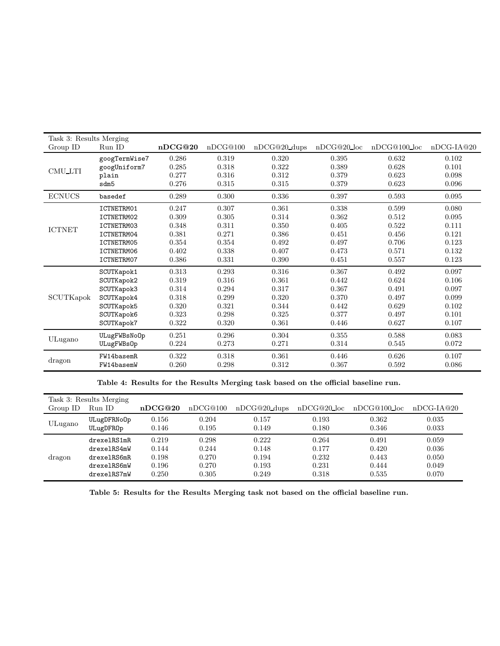| Task 3: Results Merging |                   |         |          |                |                 |                   |              |
|-------------------------|-------------------|---------|----------|----------------|-----------------|-------------------|--------------|
| Group ID                | Run ID            | nDCG@20 | nDCG@100 | $nDCG@20$ dups | $nDCG@20_{loc}$ | $nDCG@100\_{loc}$ | $nDCG-IA@20$ |
|                         | googTermWise7     | 0.286   | 0.319    | 0.320          | 0.395           | 0.632             | 0.102        |
|                         | googUniform7      | 0.285   | 0.318    | 0.322          | 0.389           | 0.628             | 0.101        |
| CMU <sub>LTI</sub>      | plain             | 0.277   | 0.316    | 0.312          | 0.379           | 0.623             | 0.098        |
|                         | sdm5              | 0.276   | 0.315    | 0.315          | 0.379           | 0.623             | 0.096        |
| <b>ECNUCS</b>           | basedef           | 0.289   | 0.300    | 0.336          | 0.397           | 0.593             | 0.095        |
|                         | ICTNETRM01        | 0.247   | 0.307    | 0.361          | 0.338           | 0.599             | 0.080        |
|                         | ICTNETRM02        | 0.309   | 0.305    | 0.314          | 0.362           | 0.512             | 0.095        |
| <b>ICTNET</b>           | ICTNETRM03        | 0.348   | 0.311    | 0.350          | 0.405           | 0.522             | 0.111        |
|                         | ICTNETRM04        | 0.381   | 0.271    | 0.386          | 0.451           | 0.456             | 0.121        |
|                         | ICTNETRM05        | 0.354   | 0.354    | 0.492          | 0.497           | 0.706             | 0.123        |
|                         | ICTNETRM06        | 0.402   | 0.338    | 0.407          | 0.473           | 0.571             | 0.132        |
|                         | ICTNETRM07        | 0.386   | 0.331    | 0.390          | 0.451           | 0.557             | 0.123        |
|                         | SCUTKapok1        | 0.313   | 0.293    | 0.316          | 0.367           | 0.492             | 0.097        |
|                         | SCUTKapok2        | 0.319   | 0.316    | 0.361          | 0.442           | 0.624             | 0.106        |
|                         | SCUTKapok3        | 0.314   | 0.294    | 0.317          | 0.367           | 0.491             | 0.097        |
| SCUTKapok               | SCUTKapok4        | 0.318   | 0.299    | 0.320          | 0.370           | 0.497             | 0.099        |
|                         | SCUTKapok5        | 0.320   | 0.321    | 0.344          | 0.442           | 0.629             | 0.102        |
|                         | SCUTKapok6        | 0.323   | 0.298    | 0.325          | 0.377           | 0.497             | 0.101        |
|                         | SCUTKapok7        | 0.322   | 0.320    | 0.361          | 0.446           | 0.627             | 0.107        |
|                         | ULugFWBsNoOp      | 0.251   | 0.296    | 0.304          | 0.355           | 0.588             | 0.083        |
| ULugano                 | <b>ULugFWBsOp</b> | 0.224   | 0.273    | 0.271          | 0.314           | 0.545             | 0.072        |
|                         | FW14basemR        | 0.322   | 0.318    | 0.361          | 0.446           | 0.626             | 0.107        |
| dragon                  | FW14basemW        | 0.260   | 0.298    | 0.312          | 0.367           | 0.592             | 0.086        |

Table 4: Results for the Results Merging task based on the official baseline run.

|          | Task 3: Results Merging  |                |                |                |                       |                   |                |
|----------|--------------------------|----------------|----------------|----------------|-----------------------|-------------------|----------------|
| Group ID | Run ID                   | nDCG@20        | nDCG@100       | nDCG@20_dups   | $nDCG@20\_\text{loc}$ | $nDCG@100\_{loc}$ | $nDCG-IA@20$   |
| ULugano  | ULugDFRNoOp<br>ULugDFROp | 0.156<br>0.146 | 0.204<br>0.195 | 0.157<br>0.149 | 0.193<br>0.180        | 0.362<br>0.346    | 0.035<br>0.033 |
|          | $d$ rexel $RS1mR$        | 0.219          | 0.298          | 0.222          | 0.264                 | 0.491             | 0.059          |
|          | drexelRS4mW              | 0.144          | 0.244          | 0.148          | 0.177                 | 0.420             | 0.036          |
| dragon   | drexelRS6mR              | 0.198          | 0.270          | 0.194          | 0.232                 | 0.443             | 0.050          |
|          | drexelRS6mW              | 0.196          | 0.270          | 0.193          | 0.231                 | 0.444             | 0.049          |
|          | drexelRS7mW              | 0.250          | 0.305          | 0.249          | 0.318                 | 0.535             | 0.070          |

Table 5: Results for the Results Merging task not based on the official baseline run.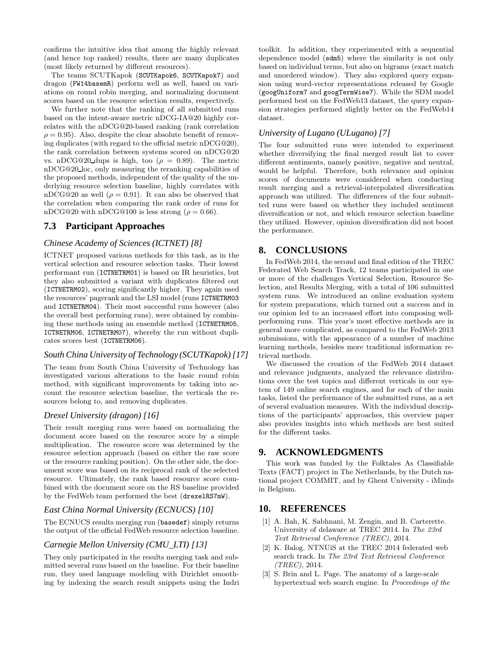confirms the intuitive idea that among the highly relevant (and hence top ranked) results, there are many duplicates (most likely returned by different resources).

The teams SCUTKapok (SCUTKapok6, SCUTKapok7) and dragon (FW14basemR) perform well as well, based on variations on round robin merging, and normalizing document scores based on the resource selection results, respectively.

We further note that the ranking of all submitted runs based on the intent-aware metric nDCG-IA@20 highly correlates with the nDCG@20-based ranking (rank correlation  $\rho = 0.95$ . Also, despite the clear absolute benefit of removing duplicates (with regard to the official metric nDCG@20), the rank correlation between systems scored on nDCG@20 vs. nDCG@20\_dups is high, too ( $\rho = 0.89$ ). The metric nDCG@20 loc, only measuring the reranking capabilities of the proposed methods, independent of the quality of the underlying resource selection baseline, highly correlates with nDCG@20 as well ( $\rho = 0.91$ ). It can also be observed that the correlation when comparing the rank order of runs for nDCG@20 with nDCG@100 is less strong ( $\rho = 0.66$ ).

# **7.3 Participant Approaches**

#### *Chinese Academy of Sciences (ICTNET) [8]*

ICTNET proposed various methods for this task, as in the vertical selection and resource selection tasks. Their lowest performant run (ICTNETRM01) is based on IR heuristics, but they also submitted a variant with duplicates filtered out (ICTNETRM02), scoring significantly higher. They again used the resources' pagerank and the LSI model (runs ICTNETRM03 and ICTNETRM04). Their most successful runs however (also the overall best performing runs), were obtained by combining these methods using an ensemble method (ICTNETRM05, ICTNETRM06, ICTNETRM07), whereby the run without duplicates scores best (ICTNETRM06).

#### *South China University of Technology (SCUTKapok) [17]*

The team from South China University of Technology has investigated various alterations to the basic round robin method, with significant improvements by taking into account the resource selection baseline, the verticals the resources belong to, and removing duplicates.

#### *Drexel University (dragon) [16]*

Their result merging runs were based on normalizing the document score based on the resource score by a simple multiplication. The resource score was determined by the resource selection approach (based on either the raw score or the resource ranking position). On the other side, the document score was based on its reciprocal rank of the selected resource. Ultimately, the rank based resource score combined with the document score on the RS baseline provided by the FedWeb team performed the best (drexelRS7mW).

#### *East China Normal University (ECNUCS) [10]*

The ECNUCS results merging run (basedef) simply returns the output of the official FedWeb resource selection baseline.

#### *Carnegie Mellon University (CMU\_LTI) [13]*

They only participated in the results merging task and submitted several runs based on the baseline. For their baseline run, they used language modeling with Dirichlet smoothing by indexing the search result snippets using the Indri toolkit. In addition, they experimented with a sequential dependence model (sdm5) where the similarity is not only based on individual terms, but also on bigrams (exact match and unordered window). They also explored query expansion using word-vector representations released by Google (googUniform7 and googTermWise7). While the SDM model performed best on the FedWeb13 dataset, the query expansion strategies performed slightly better on the FedWeb14 dataset.

### *University of Lugano (ULugano) [7]*

The four submitted runs were intended to experiment whether diversifying the final merged result list to cover different sentiments, namely positive, negative and neutral, would be helpful. Therefore, both relevance and opinion scores of documents were considered when conducting result merging and a retrieval-interpolated diversification approach was utilized. The differences of the four submitted runs were based on whether they included sentiment diversification or not, and which resource selection baseline they utilized. However, opinion diversification did not boost the performance.

# **8. CONCLUSIONS**

In FedWeb 2014, the second and final edition of the TREC Federated Web Search Track, 12 teams participated in one or more of the challenges Vertical Selection, Resource Selection, and Results Merging, with a total of 106 submitted system runs. We introduced an online evaluation system for system preparations, which turned out a success and in our opinion led to an increased effort into composing wellperforming runs. This year's most effective methods are in general more complicated, as compared to the FedWeb 2013 submissions, with the appearance of a number of machine learning methods, besides more traditional information retrieval methods.

We discussed the creation of the FedWeb 2014 dataset and relevance judgments, analyzed the relevance distributions over the test topics and different verticals in our system of 149 online search engines, and for each of the main tasks, listed the performance of the submitted runs, as a set of several evaluation measures. With the individual descriptions of the participants' approaches, this overview paper also provides insights into which methods are best suited for the different tasks.

# **9. ACKNOWLEDGMENTS**

This work was funded by the Folktales As Classifiable Texts (FACT) project in The Netherlands, by the Dutch national project COMMIT, and by Ghent University - iMinds in Belgium.

# **10. REFERENCES**

- [1] A. Bah, K. Sabhnani, M. Zengin, and B. Carterette. University of delaware at TREC 2014. In The 23rd Text Retrieval Conference (TREC), 2014.
- [2] K. Balog. NTNUiS at the TREC 2014 federated web search track. In The 23rd Text Retrieval Conference (TREC), 2014.
- [3] S. Brin and L. Page. The anatomy of a large-scale hypertextual web search engine. In Proceedings of the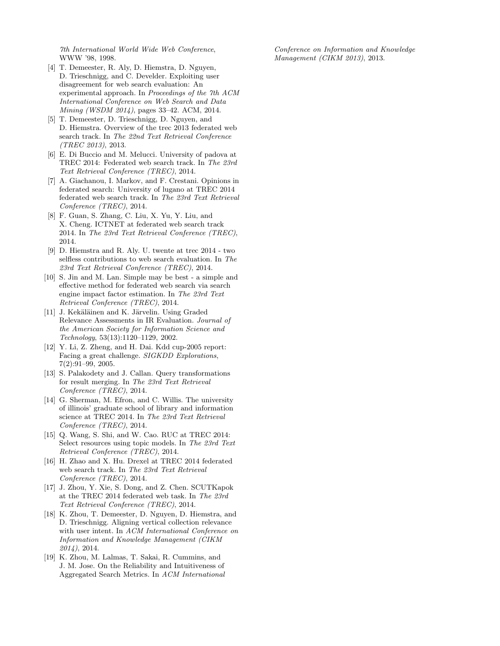7th International World Wide Web Conference, WWW '98, 1998.

- [4] T. Demeester, R. Aly, D. Hiemstra, D. Nguyen, D. Trieschnigg, and C. Develder. Exploiting user disagreement for web search evaluation: An experimental approach. In Proceedings of the 7th ACM International Conference on Web Search and Data Mining (WSDM 2014), pages 33–42. ACM, 2014.
- [5] T. Demeester, D. Trieschnigg, D. Nguyen, and D. Hiemstra. Overview of the trec 2013 federated web search track. In The 22nd Text Retrieval Conference (TREC 2013), 2013.
- [6] E. Di Buccio and M. Melucci. University of padova at TREC 2014: Federated web search track. In The 23rd Text Retrieval Conference (TREC), 2014.
- [7] A. Giachanou, I. Markov, and F. Crestani. Opinions in federated search: University of lugano at TREC 2014 federated web search track. In The 23rd Text Retrieval Conference (TREC), 2014.
- [8] F. Guan, S. Zhang, C. Liu, X. Yu, Y. Liu, and X. Cheng. ICTNET at federated web search track 2014. In The 23rd Text Retrieval Conference (TREC), 2014.
- [9] D. Hiemstra and R. Aly. U. twente at trec 2014 two selfless contributions to web search evaluation. In The 23rd Text Retrieval Conference (TREC), 2014.
- [10] S. Jin and M. Lan. Simple may be best a simple and effective method for federated web search via search engine impact factor estimation. In The 23rd Text Retrieval Conference (TREC), 2014.
- [11] J. Kekäläinen and K. Järvelin. Using Graded Relevance Assessments in IR Evaluation. Journal of the American Society for Information Science and Technology, 53(13):1120–1129, 2002.
- [12] Y. Li, Z. Zheng, and H. Dai. Kdd cup-2005 report: Facing a great challenge. SIGKDD Explorations, 7(2):91–99, 2005.
- [13] S. Palakodety and J. Callan. Query transformations for result merging. In The 23rd Text Retrieval Conference (TREC), 2014.
- [14] G. Sherman, M. Efron, and C. Willis. The university of illinois' graduate school of library and information science at TREC 2014. In The 23rd Text Retrieval Conference (TREC), 2014.
- [15] Q. Wang, S. Shi, and W. Cao. RUC at TREC 2014: Select resources using topic models. In The 23rd Text Retrieval Conference (TREC), 2014.
- [16] H. Zhao and X. Hu. Drexel at TREC 2014 federated web search track. In The 23rd Text Retrieval Conference (TREC), 2014.
- [17] J. Zhou, Y. Xie, S. Dong, and Z. Chen. SCUTKapok at the TREC 2014 federated web task. In The 23rd Text Retrieval Conference (TREC), 2014.
- [18] K. Zhou, T. Demeester, D. Nguyen, D. Hiemstra, and D. Trieschnigg. Aligning vertical collection relevance with user intent. In ACM International Conference on Information and Knowledge Management (CIKM 2014), 2014.
- [19] K. Zhou, M. Lalmas, T. Sakai, R. Cummins, and J. M. Jose. On the Reliability and Intuitiveness of Aggregated Search Metrics. In ACM International

Conference on Information and Knowledge Management (CIKM 2013), 2013.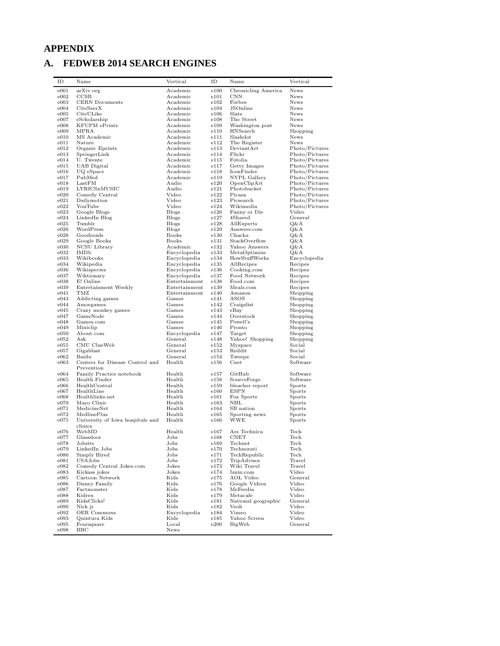# **APPENDIX**

# **A. FEDWEB 2014 SEARCH ENGINES**

| ID           | Name                                | Vertical                     | ID           | Name                          | Vertical                         |
|--------------|-------------------------------------|------------------------------|--------------|-------------------------------|----------------------------------|
| e001         | arXiv.org                           | Academic                     | e100         | Chronicling America           | News                             |
| e002         | CCSB                                | Academic                     | e101         | <b>CNN</b>                    | News                             |
| e003         | <b>CERN</b> Documents               | Academic                     | e102         | Forbes                        | News                             |
| e004         | CiteSeerX                           | Academic                     | e104         | <b>JSOnline</b>               | News                             |
| e005<br>e007 | CiteULike<br>eScholarship           | Academic<br>Academic         | e106<br>e108 | Slate<br>The Street           | News<br>News                     |
| e008         | <b>KFUPM</b> ePrints                | Academic                     | e109         | Washington post               | News                             |
| e009         | <b>MPRA</b>                         | Academic                     | e110         | HNSearch                      | Shopping                         |
| e010         | MS Academic                         | Academic                     | e111         | Slashdot                      | News                             |
| e011         | Nature                              | Academic                     | e112         | The Register                  | News                             |
| e012         | Organic Eprints                     | Academic                     | e113         | DeviantArt                    | Photo/Pictures                   |
| e013         | SpringerLink                        | Academic                     | e114         | Flickr                        | Photo/Pictures                   |
| e014         | U. Twente                           | Academic                     | e115         | Fotolia                       | Photo/Pictures                   |
| e015         | UAB Digital                         | Academic                     | e117         | Getty Images                  | Photo/Pictures                   |
| e016         | UQ eSpace                           | Academic                     | e118         | IconFinder                    | Photo/Pictures                   |
| e017<br>e018 | PubMed<br>LastFM                    | Academic<br>Audio            | e119<br>e120 | NYPL Gallery<br>OpenClipArt   | Photo/Pictures<br>Photo/Pictures |
| e019         | LYRICSnMUSIC                        | Audio                        | e121         | Photobucket                   | Photo/Pictures                   |
| e020         | Comedy Central                      | Video                        | e122         | Picasa                        | Photo/Pictures                   |
| e021         | Dailymotion                         | Video                        | e123         | Picsearch                     | Photo/Pictures                   |
| e022         | YouTube                             | Video                        | e124         | Wikimedia                     | Photo/Pictures                   |
| e023         | Google Blogs                        | Blogs                        | e126         | Funny or Die                  | Video                            |
| e024         | LinkedIn Blog                       | Blogs                        | e127         | 4Shared                       | General                          |
| e025         | Tumblr                              | Blogs                        | e128         | AllExperts                    | Q&A                              |
| e026         | WordPress                           | <b>Blogs</b>                 | e129         | Answers.com                   | Q&A                              |
| e028         | Goodreads                           | Books                        | e130         | Chacha                        | Q&A                              |
| e029         | Google Books                        | Books                        | e131         | StackOverflow                 | Q&A                              |
| e030         | NCSU Library<br>IMDb                | Academic                     | e132         | Yahoo Answers                 | Q&A                              |
| e032<br>e033 | Wikibooks                           | Encyclopedia<br>Encyclopedia | e133<br>e134 | MetaOptimize<br>HowStuffWorks | Q&A<br>Encyclopedia              |
| e034         | Wikipedia                           | Encyclopedia                 | e135         | AllRecipes                    | Recipes                          |
| e036         | Wikispecies                         | Encyclopedia                 | e136         | Cooking.com                   | Recipes                          |
| e037         | Wiktionary                          | Encyclopedia                 | e137         | Food Network                  | Recipes                          |
| e038         | E! Online                           | Entertainment                | e138         | Food.com                      | Recipes                          |
| e039         | Entertainment Weekly                | Entertainment                | e139         | Meals.com                     | Recipes                          |
| e041         | TMZ                                 | Entertainment                | e140         | Amazon                        | Shopping                         |
| e043         | Addicting games                     | Games                        | e141         | ASOS                          | Shopping                         |
| e044         | Amorgames                           | Games                        | e142         | Craigslist                    | Shopping                         |
| e045         | Crazy monkey games                  | Games                        | e143         | eBay                          | Shopping                         |
| e047         | GameNode                            | Games                        | e144         | Overstock                     | Shopping                         |
| e048<br>e049 | Games.com<br>Miniclip               | Games<br>Games               | e145<br>e146 | Powell's<br>Pronto            | Shopping<br>Shopping             |
| e050         | About.com                           | Encyclopedia                 | e147         | Target                        | Shopping                         |
| e052         | Ask                                 | General                      | e148         | Yahoo! Shopping               | Shopping                         |
| e055         | CMU ClueWeb                         | General                      | e152         | Myspace                       | Social                           |
| e057         | Gigablast                           | General                      | e153         | Reddit                        | Social                           |
| e062         | Baidu                               | General                      | e154         | Tweepz                        | Social                           |
| e063         | Centers for Disease Control and     | Health                       | e156         | $_{\text{Cnet}}$              | Software                         |
|              | Prevention                          |                              |              |                               |                                  |
| e064         | Family Practice notebook            | Health                       | e157         | GitHub                        | Software                         |
| e065         | Health Finder                       | Health                       | e158         | SourceForge                   | Software                         |
| e066         | HealthCentral                       | Health                       | e159         | bleacher report               | Sports                           |
| e067<br>e068 | HealthLine<br>Healthlinks.net       | Health<br>Health             | e160<br>e161 | ESPN<br>Fox Sports            | Sports<br>Sports                 |
| e070         | Mavo Clinic                         | Health                       | e163         | NHL                           | Sports                           |
| e071         | MedicineNet                         | Health                       | e164         | SB nation                     | Sports                           |
| e072         | MedlinePlus                         | Health                       | e165         | Sporting news                 | Sports                           |
| e075         | University of Iowa hospitals and    | Health                       | e166         | WWE                           | $_{\rm Sports}$                  |
|              | clinics                             |                              |              |                               |                                  |
| e076         | WebMD                               | Health                       | e167         | Ars Technica                  | Tech                             |
| e077         | Glassdoor                           | Jobs                         | e168         | <b>CNET</b>                   | Tech                             |
| eU78         | Jobsite                             | Jobs                         | e169         | Technet                       | Tech                             |
| e079         | LinkedIn Jobs                       | Jobs                         | e170         | Technorati                    | Tech                             |
| e080         | Simply Hired                        | Jobs                         | e171         | TechRepublic                  | Tech                             |
| e081         | USAJobs<br>Comedy Central Jokes.com | Jobs                         | e172         | TripAdvisor                   | Travel<br>Travel                 |
| e082<br>e083 | Kickass jokes                       | Jokes<br>Jokes               | e173         | Wiki Travel<br>5min.com       | Video                            |
| e085         | Cartoon Network                     | Kids                         | e174<br>e175 | AOL Video                     | General                          |
| e086         | Disney Family                       | Kids                         | e176         | Google Videos                 | Video                            |
| e087         | Factmonster                         | Kids                         | e178         | MeFeedia                      | Video                            |
| e088         | Kidrex                              | Kids                         | e179         | Metacafe                      | Video                            |
| e089         | KidsClicks!                         | Kids                         | e181         | National geographic           | General                          |
| e090         | Nick jr                             | Kids                         | e182         | Veoh                          | Video                            |
| $\rm e092$   | OER Commons                         | Encyclopedia                 | e184         | Vimeo                         | Video                            |
| e093         | Quintura Kids                       | Kids                         | e185         | Yahoo Screen                  | Video                            |
| e095         | Foursquare                          | Local                        | e200         | BigWeb                        | General                          |
| e098         | BBC                                 | News                         |              |                               |                                  |